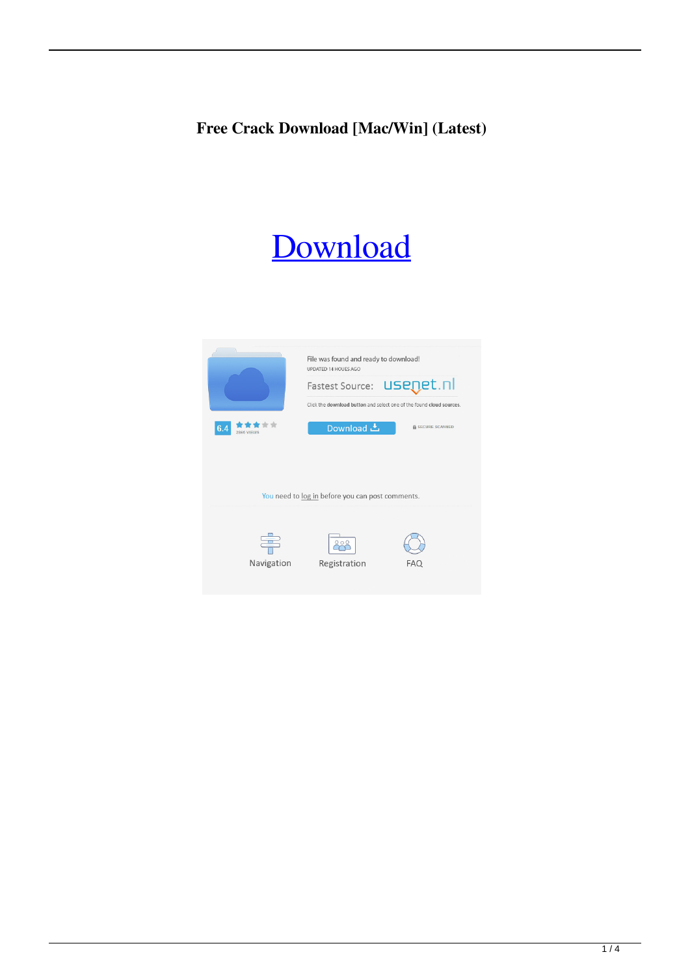# **Free Crack Download [Mac/Win] (Latest)**

# [Download](http://evacdir.com/RnJlZQRnJ/commiting/corias/yeah.coefficient.jacfran?ZG93bmxvYWR8dlE5WW5KcWJIeDhNVFkxTkRVMU9UY3dNbng4TWpVM05IeDhLRTBwSUhKbFlXUXRZbXh2WnlCYlJtRnpkQ0JIUlU1ZA=)

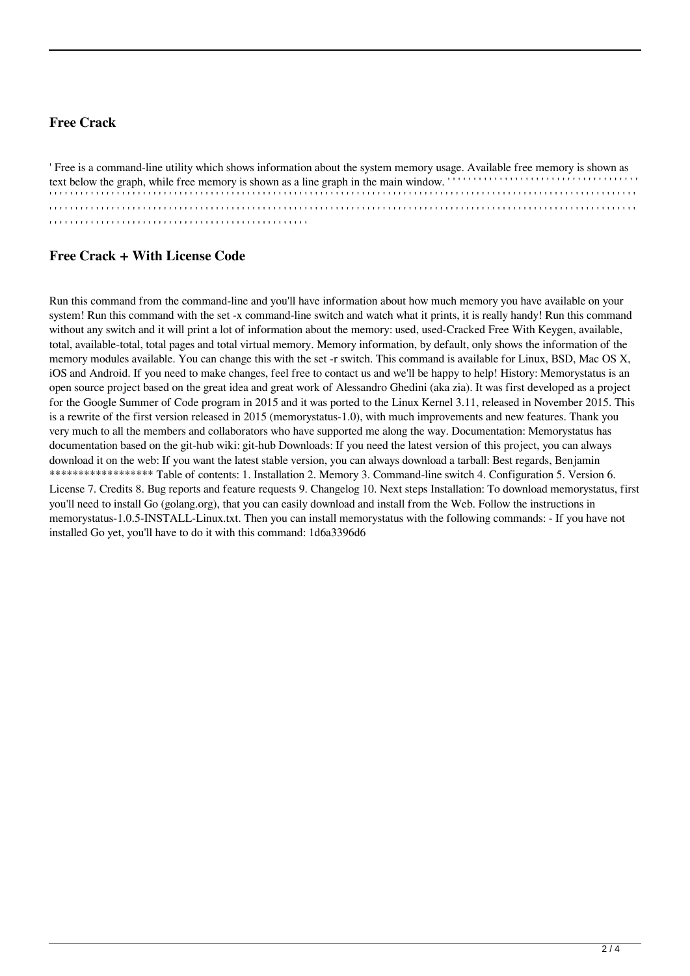#### **Free Crack**

' Free is a command-line utility which shows information about the system memory usage. Available free memory is shown as text below the graph, while free memory is shown as a line graph in the main window. ' ' ' ' ' ' ' ' ' ' ' ' ' ' ' ' ' ' ' ' ' ' ' ' ' ' ' ' ' ' ' ' ' ' ' ' ' ' ' ' ' ' ' ' ' ' ' ' ' ' ' ' ' ' ' ' ' ' ' ' ' ' ' ' ' ' ' ' ' ' ' ' ' ' ' ' ' ' ' ' ' ' ' ' ' ' ' ' ' ' ' ' ' ' ' ' ' ' ' ' ' ' ' ' ' ' ' ' ' ' ' ' ' ' ' ' ' ' ' ' ' ' ' ' ' ' ' ' ' ' ' ' ' ' ' ' ' ' ' ' ' ' ' ' ' ' ' ' ' ' ' ' ' ' ' ' ' ' ' ' ' ' ' ' ' ' ' ' ' ' ' ' ' ' ' ' ' ' ' ' ' ' ' ' ' ' ' ' ' ' ' ' ' ' ' ' ' ' ' ' ' ' ' ' ' ' ' ' ' ' ' ' ' ' ' ' ' ' ' ' ' ' ' ' ' ' ' ' ' ' ' ' ' ' ' ' ' ' ' ' ' ' ' ' ' ' ' ' ' ' ' ' ' ' ' ' ' ' ' ' ' ' ' ' ' ' ' ' ' ' ' ' ' ' ' '

#### **Free Crack + With License Code**

Run this command from the command-line and you'll have information about how much memory you have available on your system! Run this command with the set -x command-line switch and watch what it prints, it is really handy! Run this command without any switch and it will print a lot of information about the memory: used, used-Cracked Free With Keygen, available, total, available-total, total pages and total virtual memory. Memory information, by default, only shows the information of the memory modules available. You can change this with the set -r switch. This command is available for Linux, BSD, Mac OS X, iOS and Android. If you need to make changes, feel free to contact us and we'll be happy to help! History: Memorystatus is an open source project based on the great idea and great work of Alessandro Ghedini (aka zia). It was first developed as a project for the Google Summer of Code program in 2015 and it was ported to the Linux Kernel 3.11, released in November 2015. This is a rewrite of the first version released in 2015 (memorystatus-1.0), with much improvements and new features. Thank you very much to all the members and collaborators who have supported me along the way. Documentation: Memorystatus has documentation based on the git-hub wiki: git-hub Downloads: If you need the latest version of this project, you can always download it on the web: If you want the latest stable version, you can always download a tarball: Best regards, Benjamin \*\*\*\*\*\*\*\*\*\*\*\*\*\*\*\*\*\* Table of contents: 1. Installation 2. Memory 3. Command-line switch 4. Configuration 5. Version 6. License 7. Credits 8. Bug reports and feature requests 9. Changelog 10. Next steps Installation: To download memorystatus, first you'll need to install Go (golang.org), that you can easily download and install from the Web. Follow the instructions in memorystatus-1.0.5-INSTALL-Linux.txt. Then you can install memorystatus with the following commands: - If you have not installed Go yet, you'll have to do it with this command: 1d6a3396d6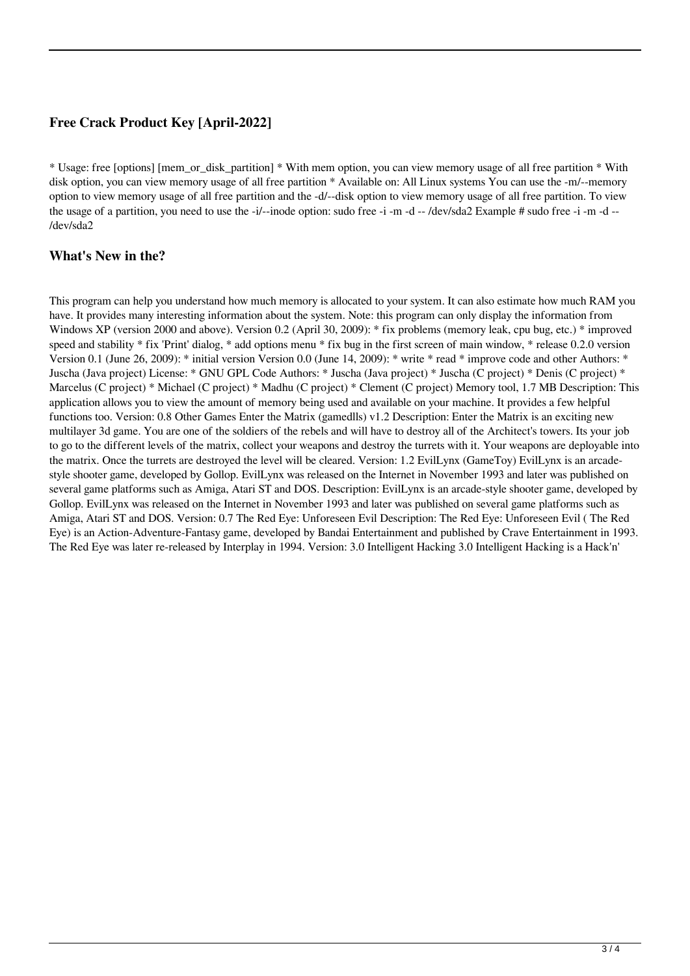## **Free Crack Product Key [April-2022]**

\* Usage: free [options] [mem\_or\_disk\_partition] \* With mem option, you can view memory usage of all free partition \* With disk option, you can view memory usage of all free partition \* Available on: All Linux systems You can use the -m/--memory option to view memory usage of all free partition and the -d/--disk option to view memory usage of all free partition. To view the usage of a partition, you need to use the -i/--inode option: sudo free -i -m -d -- /dev/sda2 Example # sudo free -i -m -d -- /dev/sda2

#### **What's New in the?**

This program can help you understand how much memory is allocated to your system. It can also estimate how much RAM you have. It provides many interesting information about the system. Note: this program can only display the information from Windows XP (version 2000 and above). Version 0.2 (April 30, 2009): \* fix problems (memory leak, cpu bug, etc.) \* improved speed and stability \* fix 'Print' dialog, \* add options menu \* fix bug in the first screen of main window, \* release 0.2.0 version Version 0.1 (June 26, 2009): \* initial version Version 0.0 (June 14, 2009): \* write \* read \* improve code and other Authors: \* Juscha (Java project) License: \* GNU GPL Code Authors: \* Juscha (Java project) \* Juscha (C project) \* Denis (C project) \* Marcelus (C project) \* Michael (C project) \* Madhu (C project) \* Clement (C project) Memory tool, 1.7 MB Description: This application allows you to view the amount of memory being used and available on your machine. It provides a few helpful functions too. Version: 0.8 Other Games Enter the Matrix (gamedlls) v1.2 Description: Enter the Matrix is an exciting new multilayer 3d game. You are one of the soldiers of the rebels and will have to destroy all of the Architect's towers. Its your job to go to the different levels of the matrix, collect your weapons and destroy the turrets with it. Your weapons are deployable into the matrix. Once the turrets are destroyed the level will be cleared. Version: 1.2 EvilLynx (GameToy) EvilLynx is an arcadestyle shooter game, developed by Gollop. EvilLynx was released on the Internet in November 1993 and later was published on several game platforms such as Amiga, Atari ST and DOS. Description: EvilLynx is an arcade-style shooter game, developed by Gollop. EvilLynx was released on the Internet in November 1993 and later was published on several game platforms such as Amiga, Atari ST and DOS. Version: 0.7 The Red Eye: Unforeseen Evil Description: The Red Eye: Unforeseen Evil ( The Red Eye) is an Action-Adventure-Fantasy game, developed by Bandai Entertainment and published by Crave Entertainment in 1993. The Red Eye was later re-released by Interplay in 1994. Version: 3.0 Intelligent Hacking 3.0 Intelligent Hacking is a Hack'n'